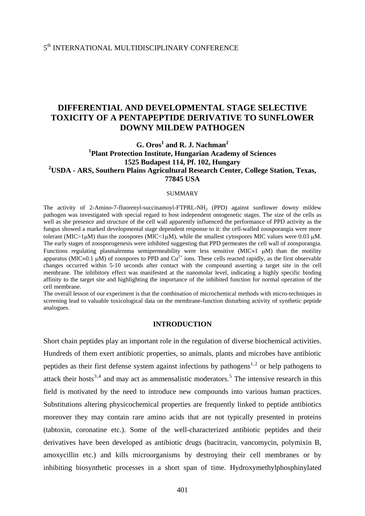# **DIFFERENTIAL AND DEVELOPMENTAL STAGE SELECTIVE TOXICITY OF A PENTAPEPTIDE DERIVATIVE TO SUNFLOWER DOWNY MILDEW PATHOGEN**

# $G.$  Oros<sup>1</sup> and R. J. Nachman<sup>2</sup> **1 Plant Protection Institute, Hungarian Academy of Sciences 1525 Budapest 114, Pf. 102, Hungary 2 USDA - ARS, Southern Plains Agricultural Research Center, College Station, Texas, 77845 USA**

### **SUMMARY**

The activity of 2-Amino-7-fluorenyl-succinamoyl-FTPRL-NH<sub>2</sub> (PPD) against sunflower downy mildew pathogen was investigated with special regard to host independent ontogenetic stages. The size of the cells as well as she presence and structure of the cell wall apparently influenced the performance of PPD activity as the fungus showed a marked developmental stage dependent response to it: the cell-walled zoosporangia were more tolerant (MIC>1 $\mu$ M) than the zoospores (MIC<1 $\mu$ M), while the smallest cytospores MIC values were 0.03  $\mu$ M. The early stages of zoosporogenesis were inhibited suggesting that PPD permeates the cell wall of zoosporangia. Functions regulating plasmalemma semipermeability were less sensitive (MIC≈1  $\mu$ M) than the motility apparatus (MIC≈0.1 µM) of zoospores to PPD and Cu<sup>2+</sup> ions. These cells reacted rapidly, as the first observable changes occurred within 5-10 seconds after contact with the compound asserting a target site in the cell membrane. The inhibitory effect was manifested at the nanomolar level, indicating a highly specific binding affinity to the target site and highlighting the importance of the inhibited function for normal operation of the cell membrane.

The overall lesson of our experiment is that the combination of microchemical methods with micro-techniques in screening lead to valuable toxicological data on the membrane-function disturbing activity of synthetic peptide analogues.

#### **INTRODUCTION**

Short chain peptides play an important role in the regulation of diverse biochemical activities. Hundreds of them exert antibiotic properties, so animals, plants and microbes have antibiotic peptides as their first defense system against infections by pathogens<sup>[1](#page-4-0),[2](#page-4-1)</sup> or help pathogens to attack their hosts<sup>[3](#page-4-1),[4](#page-4-1)</sup> and may act as ammensalistic moderators.<sup>[5](#page-4-1)</sup> The intensive research in this field is motivated by the need to introduce new compounds into various human practices. Substitutions altering physicochemical properties are frequently linked to peptide antibiotics moreover they may contain rare amino acids that are not typically presented in proteins (tabtoxin, coronatine etc.). Some of the well-characterized antibiotic peptides and their derivatives have been developed as antibiotic drugs (bacitracin, vancomycin, polymixin B, amoxycillin etc.) and kills microorganisms by destroying their cell membranes or by inhibiting biosynthetic processes in a short span of time. Hydroxymethylphosphinylated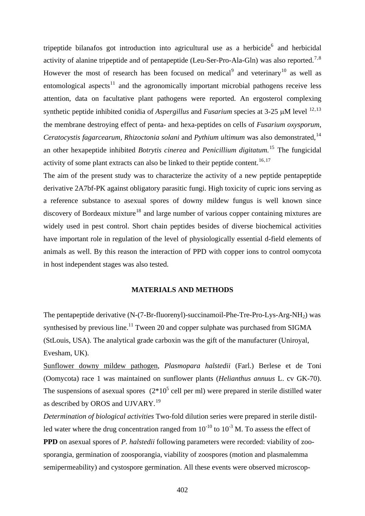tripeptide bilanafos got introduction into agricultural use as a herbicide $<sup>6</sup>$  $<sup>6</sup>$  $<sup>6</sup>$  and herbicidal</sup> activity of alanine tripeptide and of pentapeptide (Leu-Ser-Pro-Ala-Gln) was also reported.<sup>[7](#page-4-1),[8](#page-4-1)</sup> However the most of research has been focused on medical<sup>[9](#page-4-1)</sup> and veterinary<sup>[10](#page-5-0)</sup> as well as entomological aspects<sup>[11](#page-5-0)</sup> and the agronomically important microbial pathogens receive less attention, data on facultative plant pathogens were reported. An ergosterol complexing synthetic peptide inhibited conidia of *Aspergillus* and *Fusarium* species at 3-25 μM level <sup>[12](#page-5-0),[13](#page-5-0)</sup> the membrane destroying effect of penta- and hexa-peptides on cells of *Fusarium oxysporum*, *Ceratocystis fagarcearum, Rhizoctonia solani* and *Pythium ultimum* was also demonstrated.<sup>[14](#page-5-0)</sup> an other hexapeptide inhibited *Botrytis cinerea* and *Penicillium digitatum.*[15](#page-5-0) The fungicidal activity of some plant extracts can also be linked to their peptide content.<sup>[16](#page-5-0),[17](#page-5-0)</sup>

The aim of the present study was to characterize the activity of a new peptide pentapeptide derivative 2A7bf-PK against obligatory parasitic fungi. High toxicity of cupric ions serving as a reference substance to asexual spores of downy mildew fungus is well known since discovery of Bordeaux mixture<sup>[18](#page-5-0)</sup> and large number of various copper containing mixtures are widely used in pest control. Short chain peptides besides of diverse biochemical activities have important role in regulation of the level of physiologically essential d-field elements of animals as well. By this reason the interaction of PPD with copper ions to control oomycota in host independent stages was also tested.

### **MATERIALS AND METHODS**

The pentapeptide derivative  $(N-(7-Br-fluorenyl)$ -succinamoil-Phe-Tre-Pro-Lys-Arg-NH<sub>2</sub>) was synthesised by previous line.<sup>11</sup> Tween 20 and copper sulphate was purchased from SIGMA (StLouis, USA). The analytical grade carboxin was the gift of the manufacturer (Uniroyal, Evesham, UK).

Sunflower downy mildew pathogen, *Plasmopara halstedii* (Farl.) Berlese et de Toni (Oomycota) race 1 was maintained on sunflower plants (*Helianthus annuus* L. cv GK-70). The suspensions of asexual spores  $(2*10^5 \text{ cell per ml})$  were prepared in sterile distilled water as described by OROS and UJVARY.<sup>[19](#page-5-0)</sup>

*Determination of biological activities* Two-fold dilution series were prepared in sterile distilled water where the drug concentration ranged from  $10^{-10}$  to  $10^{-3}$  M. To assess the effect of **PPD** on asexual spores of *P. halstedii* following parameters were recorded: viability of zoosporangia, germination of zoosporangia, viability of zoospores (motion and plasmalemma semipermeability) and cystospore germination. All these events were observed microscop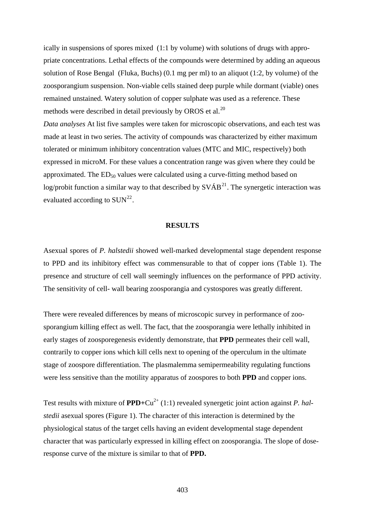ically in suspensions of spores mixed (1:1 by volume) with solutions of drugs with appropriate concentrations. Lethal effects of the compounds were determined by adding an aqueous solution of Rose Bengal (Fluka, Buchs) (0.1 mg per ml) to an aliquot (1:2, by volume) of the zoosporangium suspension. Non-viable cells stained deep purple while dormant (viable) ones remained unstained. Watery solution of copper sulphate was used as a reference. These methods were described in detail previously by OROS et al.<sup>[20](#page-5-0)</sup>

*Data analyses* At list five samples were taken for microscopic observations, and each test was made at least in two series. The activity of compounds was characterized by either maximum tolerated or minimum inhibitory concentration values (MTC and MIC, respectively) both expressed in microM. For these values a concentration range was given where they could be approximated. The  $ED_{50}$  values were calculated using a curve-fitting method based on log/probit function a similar way to that described by  $SV\hat{A}B^{21}$  $SV\hat{A}B^{21}$  $SV\hat{A}B^{21}$ . The synergetic interaction was evaluated according to  $SUM^{22}$  $SUM^{22}$  $SUM^{22}$ .

#### **RESULTS**

Asexual spores of *P. halstedii* showed well-marked developmental stage dependent response to PPD and its inhibitory effect was commensurable to that of copper ions (Table 1). The presence and structure of cell wall seemingly influences on the performance of PPD activity. The sensitivity of cell- wall bearing zoosporangia and cystospores was greatly different.

There were revealed differences by means of microscopic survey in performance of zoosporangium killing effect as well. The fact, that the zoosporangia were lethally inhibited in early stages of zoosporegenesis evidently demonstrate, that **PPD** permeates their cell wall, contrarily to copper ions which kill cells next to opening of the operculum in the ultimate stage of zoospore differentiation. The plasmalemma semipermeability regulating functions were less sensitive than the motility apparatus of zoospores to both **PPD** and copper ions.

Test results with mixture of **PPD**+Cu<sup>2+</sup> (1:1) revealed synergetic joint action against *P. halstedii* asexual spores (Figure 1). The character of this interaction is determined by the physiological status of the target cells having an evident developmental stage dependent character that was particularly expressed in killing effect on zoosporangia. The slope of doseresponse curve of the mixture is similar to that of **PPD.**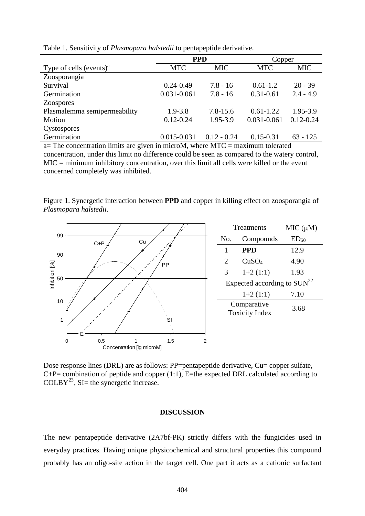|                                                                                             | <b>PPD</b>    |               | Copper        |               |
|---------------------------------------------------------------------------------------------|---------------|---------------|---------------|---------------|
| Type of cells $(events)^a$                                                                  | <b>MTC</b>    | <b>MIC</b>    | <b>MTC</b>    | <b>MIC</b>    |
| Zoosporangia                                                                                |               |               |               |               |
| Survival                                                                                    | $0.24 - 0.49$ | $7.8 - 16$    | $0.61 - 1.2$  | $20 - 39$     |
| Germination                                                                                 | 0.031-0.061   | $7.8 - 16$    | $0.31 - 0.61$ | $2.4 - 4.9$   |
| <b>Zoospores</b>                                                                            |               |               |               |               |
| Plasmalemma semipermeability                                                                | $1.9 - 3.8$   | $7.8 - 15.6$  | $0.61 - 1.22$ | 1.95-3.9      |
| Motion                                                                                      | $0.12 - 0.24$ | 1.95-3.9      | 0.031-0.061   | $0.12 - 0.24$ |
| Cystospores                                                                                 |               |               |               |               |
| Germination                                                                                 | 0.015-0.031   | $0.12 - 0.24$ | $0.15 - 0.31$ | $63 - 125$    |
| $\sim$ The concentration limits are given in migra $M$ , where $MTC$ are vincent to legated |               |               |               |               |

Table 1. Sensitivity of *Plasmopara halstedii* to pentapeptide derivative.

 $a=$  The concentration limits are given in microM, where MTC = maximum tolerated concentration, under this limit no difference could be seen as compared to the watery control, MIC = minimum inhibitory concentration, over this limit all cells were killed or the event concerned completely was inhibited.

Figure 1. Synergetic interaction between **PPD** and copper in killing effect on zoosporangia of *Plasmopara halstedii*.



Dose response lines (DRL) are as follows: PP=pentapeptide derivative, Cu= copper sulfate,  $C+P=$  combination of peptide and copper (1:1), E=the expected DRL calculated according to COLBY<sup>[23](#page-5-0)</sup>, SI= the synergetic increase.

### **DISCUSSION**

The new pentapeptide derivative (2A7bf-PK) strictly differs with the fungicides used in everyday practices. Having unique physicochemical and structural properties this compound probably has an oligo-site action in the target cell. One part it acts as a cationic surfactant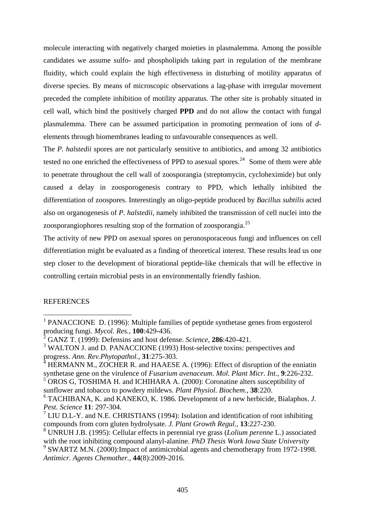<span id="page-4-1"></span>molecule interacting with negatively charged moieties in plasmalemma. Among the possible candidates we assume sulfo- and phospholipids taking part in regulation of the membrane fluidity, which could explain the high effectiveness in disturbing of motility apparatus of diverse species. By means of microscopic observations a lag-phase with irregular movement preceded the complete inhibition of motility apparatus. The other site is probably situated in cell wall, which bind the positively charged **PPD** and do not allow the contact with fungal plasmalemma. There can be assumed participation in promoting permeation of ions of *d*elements through biomembranes leading to unfavourable consequences as well.

The *P. halstedii* spores are not particularly sensitive to antibiotics, and among 32 antibiotics tested no one enriched the effectiveness of PPD to asexual spores.<sup>[24](#page-5-0)</sup> Some of them were able to penetrate throughout the cell wall of zoosporangia (streptomycin, cycloheximide) but only caused a delay in zoosporogenesis contrary to PPD, which lethally inhibited the differentiation of zoospores. Interestingly an oligo-peptide produced by *Bacillus subtilis* acted also on organogenesis of *P. halstedii*, namely inhibited the transmission of cell nuclei into the zoosporangiophores resulting stop of the formation of zoosporangia.[25](#page-5-1)

The activity of new PPD on asexual spores on peronosporaceous fungi and influences on cell differentiation might be evaluated as a finding of theoretical interest. These results lead us one step closer to the development of biorational peptide-like chemicals that will be effective in controlling certain microbial pests in an environmentally friendly fashion.

## **REFERENCES**

<span id="page-4-0"></span><sup>&</sup>lt;u>.</u> <sup>1</sup> PANACCIONE D. (1996): Multiple families of peptide synthetase genes from ergosterol producing fungi. *Mycol. Res.*, **100**:429-436.

<sup>2</sup> GANZ T. (1999): Defensins and host defense. *Science*, **286**:420-421.

<sup>&</sup>lt;sup>3</sup> WALTON J. and D. PANACCIONE (1993) Host-selective toxins: perspectives and progress. *Ann. Rev.Phytopathol.,* **31**:275-303.

<sup>4</sup> HERMANN M., ZOCHER R. and HAAESE A. (1996): Effect of disruption of the enniatin synthetase gene on the virulence of *Fusarium avenaceum*. *Mol. Plant Micr. Int.,* **9**:226-232.

 $5$  OROS G, TOSHIMA H. and ICHIHARA A. (2000): Coronatine alters susceptibility of sunflower and tobacco to powdery mildews. *Plant Physiol. Biochem.,* **38**:220.

<sup>6</sup> TACHIBANA, K. and KANEKO, K. 1986. Development of a new herbicide, Bialaphos. *J. Pest. Science* **11**: 297-304.

 $<sup>7</sup>$  LIU D.L-Y. and N.E. CHRISTIANS (1994): Isolation and identification of root inhibiting</sup> compounds from corn gluten hydrolysate. *J. Plant Growth Regul.,* **13**:227-230.

<sup>8</sup> UNRUH J.B. (1995): Cellular effects in perennial rye grass (*Lolium perenne* L.) associated with the root inhibiting compound alanyl-alanine. *PhD Thesis Work Iowa State University* <sup>9</sup> SWARTZ M.N. (2000): Impact of antimicrobial agents and chemotherapy from 1972-1998. *Antimicr. Agents Chemother.,* **44**(8):2009-2016.